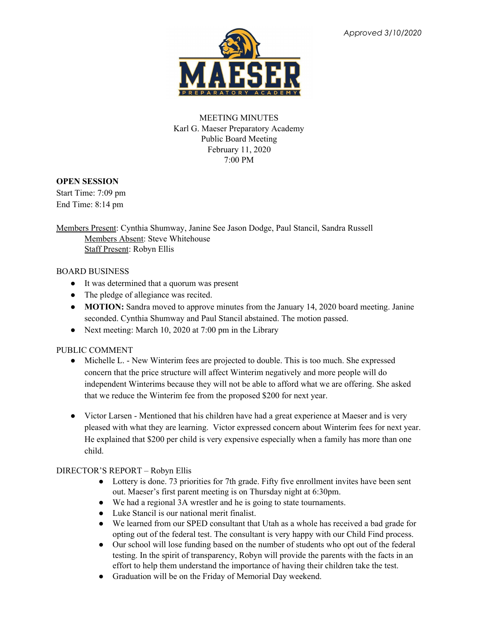

# MEETING MINUTES Karl G. Maeser Preparatory Academy Public Board Meeting February 11, 2020 7:00 PM

### **OPEN SESSION**

Start Time: 7:09 pm End Time: 8:14 pm

Members Present: Cynthia Shumway, Janine See Jason Dodge, Paul Stancil, Sandra Russell Members Absent: Steve Whitehouse Staff Present: Robyn Ellis

### BOARD BUSINESS

- It was determined that a quorum was present
- The pledge of allegiance was recited.
- **MOTION:** Sandra moved to approve minutes from the January 14, 2020 board meeting. Janine seconded. Cynthia Shumway and Paul Stancil abstained. The motion passed.
- Next meeting: March 10, 2020 at 7:00 pm in the Library

# PUBLIC COMMENT

- Michelle L. New Winterim fees are projected to double. This is too much. She expressed concern that the price structure will affect Winterim negatively and more people will do independent Winterims because they will not be able to afford what we are offering. She asked that we reduce the Winterim fee from the proposed \$200 for next year.
- Victor Larsen Mentioned that his children have had a great experience at Maeser and is very pleased with what they are learning. Victor expressed concern about Winterim fees for next year. He explained that \$200 per child is very expensive especially when a family has more than one child.

# DIRECTOR'S REPORT – Robyn Ellis

- Lottery is done. 73 priorities for 7th grade. Fifty five enrollment invites have been sent out. Maeser's first parent meeting is on Thursday night at 6:30pm.
- We had a regional 3A wrestler and he is going to state tournaments.
- Luke Stancil is our national merit finalist.
- We learned from our SPED consultant that Utah as a whole has received a bad grade for opting out of the federal test. The consultant is very happy with our Child Find process.
- Our school will lose funding based on the number of students who opt out of the federal testing. In the spirit of transparency, Robyn will provide the parents with the facts in an effort to help them understand the importance of having their children take the test.
- Graduation will be on the Friday of Memorial Day weekend.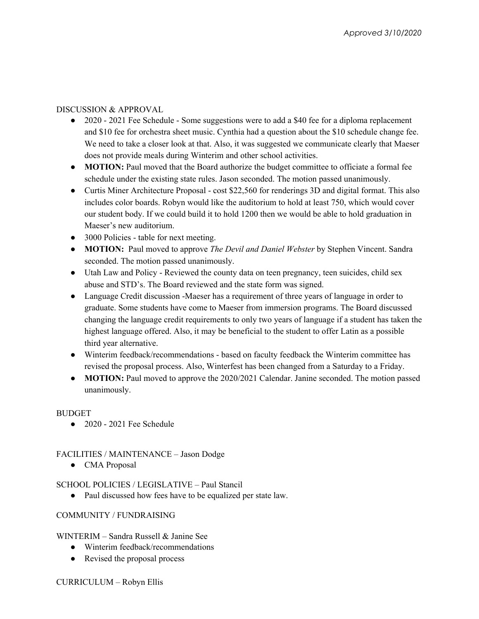### DISCUSSION & APPROVAL

- 2020 2021 Fee Schedule Some suggestions were to add a \$40 fee for a diploma replacement and \$10 fee for orchestra sheet music. Cynthia had a question about the \$10 schedule change fee. We need to take a closer look at that. Also, it was suggested we communicate clearly that Maeser does not provide meals during Winterim and other school activities.
- **MOTION:** Paul moved that the Board authorize the budget committee to officiate a formal fee schedule under the existing state rules. Jason seconded. The motion passed unanimously.
- Curtis Miner Architecture Proposal cost \$22,560 for renderings 3D and digital format. This also includes color boards. Robyn would like the auditorium to hold at least 750, which would cover our student body. If we could build it to hold 1200 then we would be able to hold graduation in Maeser's new auditorium.
- 3000 Policies table for next meeting.
- **MOTION:** Paul moved to approve *The Devil and Daniel Webster* by Stephen Vincent. Sandra seconded. The motion passed unanimously.
- Utah Law and Policy Reviewed the county data on teen pregnancy, teen suicides, child sex abuse and STD's. The Board reviewed and the state form was signed.
- Language Credit discussion -Maeser has a requirement of three years of language in order to graduate. Some students have come to Maeser from immersion programs. The Board discussed changing the language credit requirements to only two years of language if a student has taken the highest language offered. Also, it may be beneficial to the student to offer Latin as a possible third year alternative.
- Winterim feedback/recommendations based on faculty feedback the Winterim committee has revised the proposal process. Also, Winterfest has been changed from a Saturday to a Friday.
- **MOTION:** Paul moved to approve the 2020/2021 Calendar. Janine seconded. The motion passed unanimously.

#### **BUDGET**

● 2020 - 2021 Fee Schedule

#### FACILITIES / MAINTENANCE – Jason Dodge

● CMA Proposal

#### SCHOOL POLICIES / LEGISLATIVE – Paul Stancil

• Paul discussed how fees have to be equalized per state law.

#### COMMUNITY / FUNDRAISING

#### WINTERIM – Sandra Russell & Janine See

- Winterim feedback/recommendations
- Revised the proposal process

#### CURRICULUM – Robyn Ellis